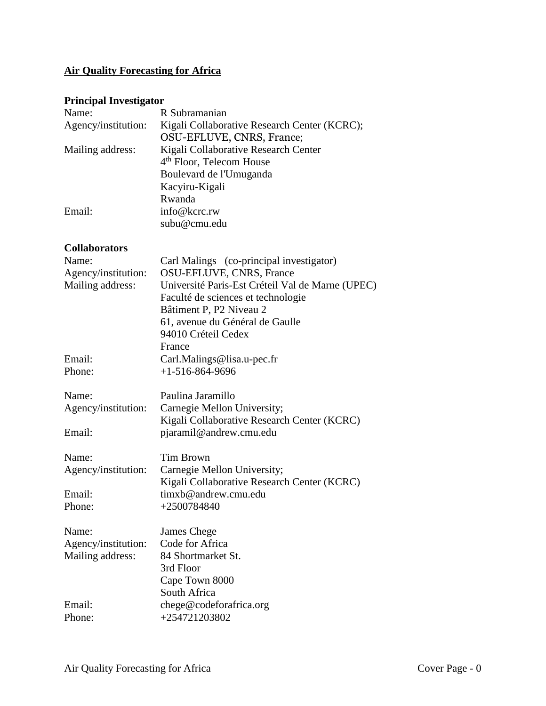# **Air Quality Forecasting for Africa**

# **Principal Investigator**

| Name:               | R Subramanian                                |
|---------------------|----------------------------------------------|
| Agency/institution: | Kigali Collaborative Research Center (KCRC); |
|                     | OSU-EFLUVE, CNRS, France;                    |
| Mailing address:    | Kigali Collaborative Research Center         |
|                     | 4 <sup>th</sup> Floor, Telecom House         |
|                     | Boulevard de l'Umuganda                      |
|                     | Kacyiru-Kigali                               |
|                     | Rwanda                                       |
| Email:              | info@kcrc.rw                                 |
|                     | subu@cmu.edu                                 |

## **Collaborators**

| Name:<br>Agency/institution:<br>Mailing address:                     | Carl Malings (co-principal investigator)<br>OSU-EFLUVE, CNRS, France<br>Université Paris-Est Créteil Val de Marne (UPEC)<br>Faculté de sciences et technologie<br>Bâtiment P, P2 Niveau 2<br>61, avenue du Général de Gaulle<br>94010 Créteil Cedex<br>France |
|----------------------------------------------------------------------|---------------------------------------------------------------------------------------------------------------------------------------------------------------------------------------------------------------------------------------------------------------|
| Email:                                                               | Carl.Malings@lisa.u-pec.fr                                                                                                                                                                                                                                    |
| Phone:                                                               | $+1-516-864-9696$                                                                                                                                                                                                                                             |
| Name:<br>Agency/institution:                                         | Paulina Jaramillo<br>Carnegie Mellon University;<br>Kigali Collaborative Research Center (KCRC)                                                                                                                                                               |
| Email:                                                               | pjaramil@andrew.cmu.edu                                                                                                                                                                                                                                       |
| Name:<br>Agency/institution:<br>Email:<br>Phone:                     | <b>Tim Brown</b><br>Carnegie Mellon University;<br>Kigali Collaborative Research Center (KCRC)<br>timxb@andrew.cmu.edu<br>+2500784840                                                                                                                         |
| Name:<br>Agency/institution:<br>Mailing address:<br>Email:<br>Phone: | James Chege<br>Code for Africa<br>84 Shortmarket St.<br>3rd Floor<br>Cape Town 8000<br>South Africa<br>chege@codeforafrica.org<br>+254721203802                                                                                                               |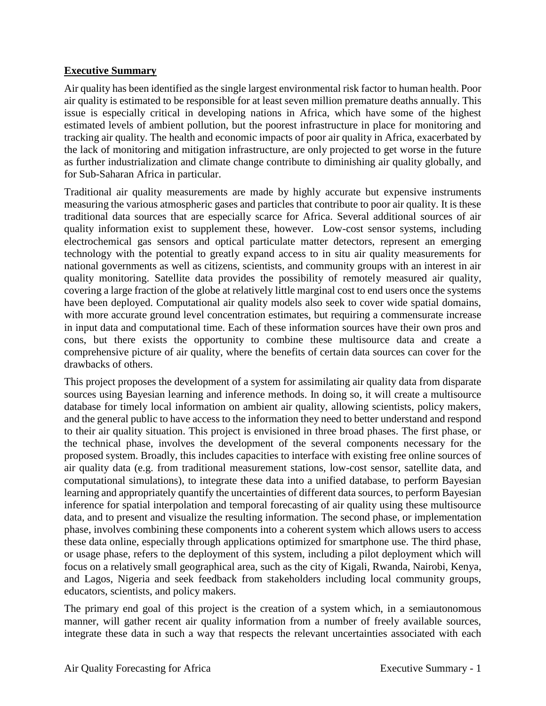# **Executive Summary**

Air quality has been identified as the single largest environmental risk factor to human health. Poor air quality is estimated to be responsible for at least seven million premature deaths annually. This issue is especially critical in developing nations in Africa, which have some of the highest estimated levels of ambient pollution, but the poorest infrastructure in place for monitoring and tracking air quality. The health and economic impacts of poor air quality in Africa, exacerbated by the lack of monitoring and mitigation infrastructure, are only projected to get worse in the future as further industrialization and climate change contribute to diminishing air quality globally, and for Sub-Saharan Africa in particular.

Traditional air quality measurements are made by highly accurate but expensive instruments measuring the various atmospheric gases and particles that contribute to poor air quality. It is these traditional data sources that are especially scarce for Africa. Several additional sources of air quality information exist to supplement these, however. Low-cost sensor systems, including electrochemical gas sensors and optical particulate matter detectors, represent an emerging technology with the potential to greatly expand access to in situ air quality measurements for national governments as well as citizens, scientists, and community groups with an interest in air quality monitoring. Satellite data provides the possibility of remotely measured air quality, covering a large fraction of the globe at relatively little marginal cost to end users once the systems have been deployed. Computational air quality models also seek to cover wide spatial domains, with more accurate ground level concentration estimates, but requiring a commensurate increase in input data and computational time. Each of these information sources have their own pros and cons, but there exists the opportunity to combine these multisource data and create a comprehensive picture of air quality, where the benefits of certain data sources can cover for the drawbacks of others.

This project proposes the development of a system for assimilating air quality data from disparate sources using Bayesian learning and inference methods. In doing so, it will create a multisource database for timely local information on ambient air quality, allowing scientists, policy makers, and the general public to have access to the information they need to better understand and respond to their air quality situation. This project is envisioned in three broad phases. The first phase, or the technical phase, involves the development of the several components necessary for the proposed system. Broadly, this includes capacities to interface with existing free online sources of air quality data (e.g. from traditional measurement stations, low-cost sensor, satellite data, and computational simulations), to integrate these data into a unified database, to perform Bayesian learning and appropriately quantify the uncertainties of different data sources, to perform Bayesian inference for spatial interpolation and temporal forecasting of air quality using these multisource data, and to present and visualize the resulting information. The second phase, or implementation phase, involves combining these components into a coherent system which allows users to access these data online, especially through applications optimized for smartphone use. The third phase, or usage phase, refers to the deployment of this system, including a pilot deployment which will focus on a relatively small geographical area, such as the city of Kigali, Rwanda, Nairobi, Kenya, and Lagos, Nigeria and seek feedback from stakeholders including local community groups, educators, scientists, and policy makers.

The primary end goal of this project is the creation of a system which, in a semiautonomous manner, will gather recent air quality information from a number of freely available sources, integrate these data in such a way that respects the relevant uncertainties associated with each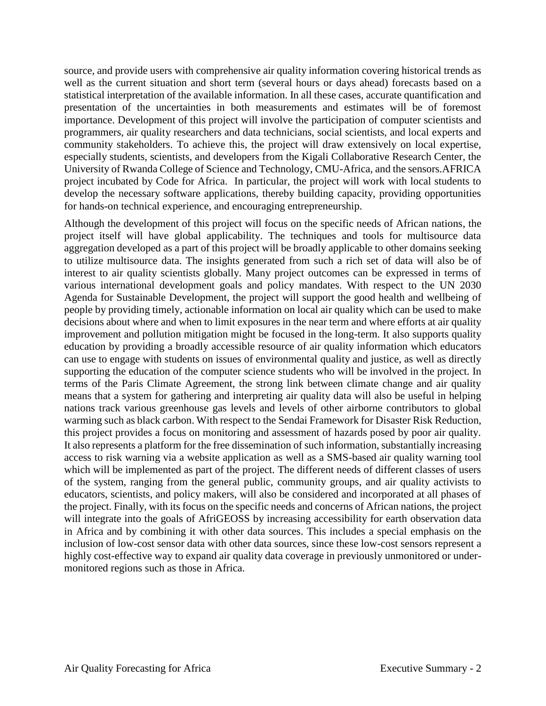source, and provide users with comprehensive air quality information covering historical trends as well as the current situation and short term (several hours or days ahead) forecasts based on a statistical interpretation of the available information. In all these cases, accurate quantification and presentation of the uncertainties in both measurements and estimates will be of foremost importance. Development of this project will involve the participation of computer scientists and programmers, air quality researchers and data technicians, social scientists, and local experts and community stakeholders. To achieve this, the project will draw extensively on local expertise, especially students, scientists, and developers from the Kigali Collaborative Research Center, the University of Rwanda College of Science and Technology, CMU-Africa, and the sensors.AFRICA project incubated by Code for Africa. In particular, the project will work with local students to develop the necessary software applications, thereby building capacity, providing opportunities for hands-on technical experience, and encouraging entrepreneurship.

Although the development of this project will focus on the specific needs of African nations, the project itself will have global applicability. The techniques and tools for multisource data aggregation developed as a part of this project will be broadly applicable to other domains seeking to utilize multisource data. The insights generated from such a rich set of data will also be of interest to air quality scientists globally. Many project outcomes can be expressed in terms of various international development goals and policy mandates. With respect to the UN 2030 Agenda for Sustainable Development, the project will support the good health and wellbeing of people by providing timely, actionable information on local air quality which can be used to make decisions about where and when to limit exposures in the near term and where efforts at air quality improvement and pollution mitigation might be focused in the long-term. It also supports quality education by providing a broadly accessible resource of air quality information which educators can use to engage with students on issues of environmental quality and justice, as well as directly supporting the education of the computer science students who will be involved in the project. In terms of the Paris Climate Agreement, the strong link between climate change and air quality means that a system for gathering and interpreting air quality data will also be useful in helping nations track various greenhouse gas levels and levels of other airborne contributors to global warming such as black carbon. With respect to the Sendai Framework for Disaster Risk Reduction, this project provides a focus on monitoring and assessment of hazards posed by poor air quality. It also represents a platform for the free dissemination of such information, substantially increasing access to risk warning via a website application as well as a SMS-based air quality warning tool which will be implemented as part of the project. The different needs of different classes of users of the system, ranging from the general public, community groups, and air quality activists to educators, scientists, and policy makers, will also be considered and incorporated at all phases of the project. Finally, with its focus on the specific needs and concerns of African nations, the project will integrate into the goals of AfriGEOSS by increasing accessibility for earth observation data in Africa and by combining it with other data sources. This includes a special emphasis on the inclusion of low-cost sensor data with other data sources, since these low-cost sensors represent a highly cost-effective way to expand air quality data coverage in previously unmonitored or undermonitored regions such as those in Africa.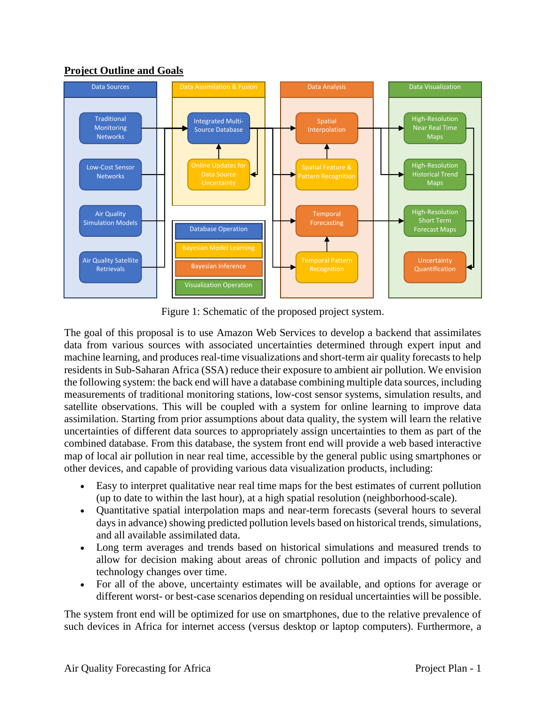# **Project Outline and Goals**



Figure 1: Schematic of the proposed project system.

<span id="page-3-0"></span>The goal of this proposal is to use Amazon Web Services to develop a backend that assimilates data from various sources with associated uncertainties determined through expert input and machine learning, and produces real-time visualizations and short-term air quality forecasts to help residents in Sub-Saharan Africa (SSA) reduce their exposure to ambient air pollution. We envision the following system: the back end will have a database combining multiple data sources, including measurements of traditional monitoring stations, low-cost sensor systems, simulation results, and satellite observations. This will be coupled with a system for online learning to improve data assimilation. Starting from prior assumptions about data quality, the system will learn the relative uncertainties of different data sources to appropriately assign uncertainties to them as part of the combined database. From this database, the system front end will provide a web based interactive map of local air pollution in near real time, accessible by the general public using smartphones or other devices, and capable of providing various data visualization products, including:

- Easy to interpret qualitative near real time maps for the best estimates of current pollution (up to date to within the last hour), at a high spatial resolution (neighborhood-scale).
- Quantitative spatial interpolation maps and near-term forecasts (several hours to several days in advance) showing predicted pollution levels based on historical trends, simulations, and all available assimilated data.
- Long term averages and trends based on historical simulations and measured trends to allow for decision making about areas of chronic pollution and impacts of policy and technology changes over time.
- For all of the above, uncertainty estimates will be available, and options for average or different worst- or best-case scenarios depending on residual uncertainties will be possible.

The system front end will be optimized for use on smartphones, due to the relative prevalence of such devices in Africa for internet access (versus desktop or laptop computers). Furthermore, a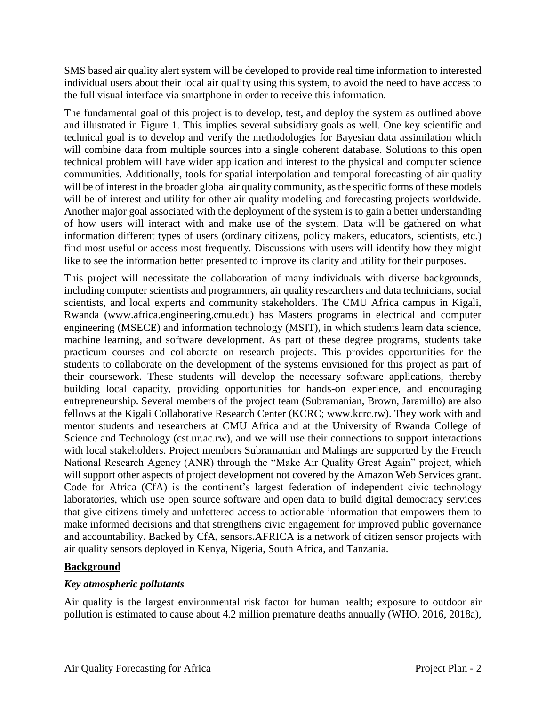SMS based air quality alert system will be developed to provide real time information to interested individual users about their local air quality using this system, to avoid the need to have access to the full visual interface via smartphone in order to receive this information.

The fundamental goal of this project is to develop, test, and deploy the system as outlined above and illustrated in [Figure 1.](#page-3-0) This implies several subsidiary goals as well. One key scientific and technical goal is to develop and verify the methodologies for Bayesian data assimilation which will combine data from multiple sources into a single coherent database. Solutions to this open technical problem will have wider application and interest to the physical and computer science communities. Additionally, tools for spatial interpolation and temporal forecasting of air quality will be of interest in the broader global air quality community, as the specific forms of these models will be of interest and utility for other air quality modeling and forecasting projects worldwide. Another major goal associated with the deployment of the system is to gain a better understanding of how users will interact with and make use of the system. Data will be gathered on what information different types of users (ordinary citizens, policy makers, educators, scientists, etc.) find most useful or access most frequently. Discussions with users will identify how they might like to see the information better presented to improve its clarity and utility for their purposes.

This project will necessitate the collaboration of many individuals with diverse backgrounds, including computer scientists and programmers, air quality researchers and data technicians, social scientists, and local experts and community stakeholders. The CMU Africa campus in Kigali, Rwanda (www.africa.engineering.cmu.edu) has Masters programs in electrical and computer engineering (MSECE) and information technology (MSIT), in which students learn data science, machine learning, and software development. As part of these degree programs, students take practicum courses and collaborate on research projects. This provides opportunities for the students to collaborate on the development of the systems envisioned for this project as part of their coursework. These students will develop the necessary software applications, thereby building local capacity, providing opportunities for hands-on experience, and encouraging entrepreneurship. Several members of the project team (Subramanian, Brown, Jaramillo) are also fellows at the Kigali Collaborative Research Center (KCRC; www.kcrc.rw). They work with and mentor students and researchers at CMU Africa and at the University of Rwanda College of Science and Technology (cst.ur.ac.rw), and we will use their connections to support interactions with local stakeholders. Project members Subramanian and Malings are supported by the French National Research Agency (ANR) through the "Make Air Quality Great Again" project, which will support other aspects of project development not covered by the Amazon Web Services grant. Code for Africa (CfA) is the continent's largest federation of independent civic technology laboratories, which use open source software and open data to build digital democracy services that give citizens timely and unfettered access to actionable information that empowers them to make informed decisions and that strengthens civic engagement for improved public governance and accountability. Backed by CfA, sensors.AFRICA is a network of citizen sensor projects with air quality sensors deployed in Kenya, Nigeria, South Africa, and Tanzania.

# **Background**

# *Key atmospheric pollutants*

Air quality is the largest environmental risk factor for human health; exposure to outdoor air pollution is estimated to cause about 4.2 million premature deaths annually (WHO, 2016, 2018a),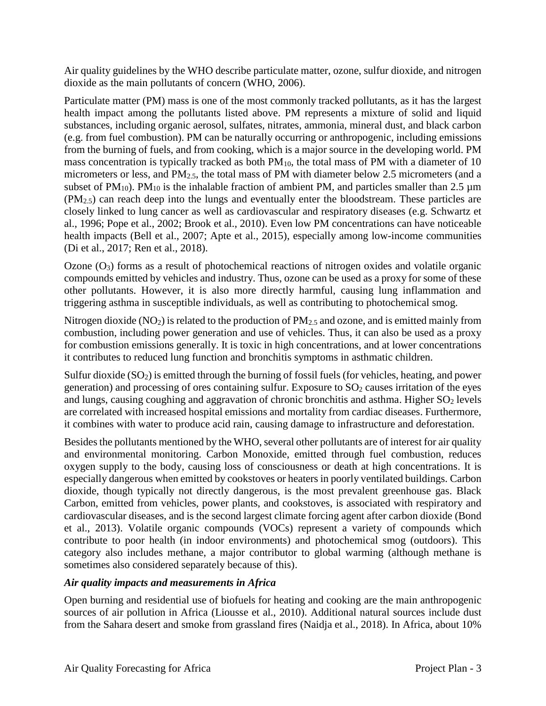Air quality guidelines by the WHO describe particulate matter, ozone, sulfur dioxide, and nitrogen dioxide as the main pollutants of concern (WHO, 2006).

Particulate matter (PM) mass is one of the most commonly tracked pollutants, as it has the largest health impact among the pollutants listed above. PM represents a mixture of solid and liquid substances, including organic aerosol, sulfates, nitrates, ammonia, mineral dust, and black carbon (e.g. from fuel combustion). PM can be naturally occurring or anthropogenic, including emissions from the burning of fuels, and from cooking, which is a major source in the developing world. PM mass concentration is typically tracked as both  $PM_{10}$ , the total mass of PM with a diameter of 10 micrometers or less, and PM<sub>2.5</sub>, the total mass of PM with diameter below 2.5 micrometers (and a subset of  $PM_{10}$ ).  $PM_{10}$  is the inhalable fraction of ambient PM, and particles smaller than 2.5  $\mu$ m (PM2.5) can reach deep into the lungs and eventually enter the bloodstream. These particles are closely linked to lung cancer as well as cardiovascular and respiratory diseases (e.g. Schwartz et al., 1996; Pope et al., 2002; Brook et al., 2010). Even low PM concentrations can have noticeable health impacts (Bell et al., 2007; Apte et al., 2015), especially among low-income communities (Di et al., 2017; Ren et al., 2018).

Ozone  $(O_3)$  forms as a result of photochemical reactions of nitrogen oxides and volatile organic compounds emitted by vehicles and industry. Thus, ozone can be used as a proxy for some of these other pollutants. However, it is also more directly harmful, causing lung inflammation and triggering asthma in susceptible individuals, as well as contributing to photochemical smog.

Nitrogen dioxide ( $NO<sub>2</sub>$ ) is related to the production of  $PM<sub>2.5</sub>$  and ozone, and is emitted mainly from combustion, including power generation and use of vehicles. Thus, it can also be used as a proxy for combustion emissions generally. It is toxic in high concentrations, and at lower concentrations it contributes to reduced lung function and bronchitis symptoms in asthmatic children.

Sulfur dioxide  $(SO<sub>2</sub>)$  is emitted through the burning of fossil fuels (for vehicles, heating, and power generation) and processing of ores containing sulfur. Exposure to  $SO<sub>2</sub>$  causes irritation of the eyes and lungs, causing coughing and aggravation of chronic bronchitis and asthma. Higher  $SO_2$  levels are correlated with increased hospital emissions and mortality from cardiac diseases. Furthermore, it combines with water to produce acid rain, causing damage to infrastructure and deforestation.

Besides the pollutants mentioned by the WHO, several other pollutants are of interest for air quality and environmental monitoring. Carbon Monoxide, emitted through fuel combustion, reduces oxygen supply to the body, causing loss of consciousness or death at high concentrations. It is especially dangerous when emitted by cookstoves or heaters in poorly ventilated buildings. Carbon dioxide, though typically not directly dangerous, is the most prevalent greenhouse gas. Black Carbon, emitted from vehicles, power plants, and cookstoves, is associated with respiratory and cardiovascular diseases, and is the second largest climate forcing agent after carbon dioxide (Bond et al., 2013). Volatile organic compounds (VOCs) represent a variety of compounds which contribute to poor health (in indoor environments) and photochemical smog (outdoors). This category also includes methane, a major contributor to global warming (although methane is sometimes also considered separately because of this).

# *Air quality impacts and measurements in Africa*

Open burning and residential use of biofuels for heating and cooking are the main anthropogenic sources of air pollution in Africa (Liousse et al., 2010). Additional natural sources include dust from the Sahara desert and smoke from grassland fires (Naidja et al., 2018). In Africa, about 10%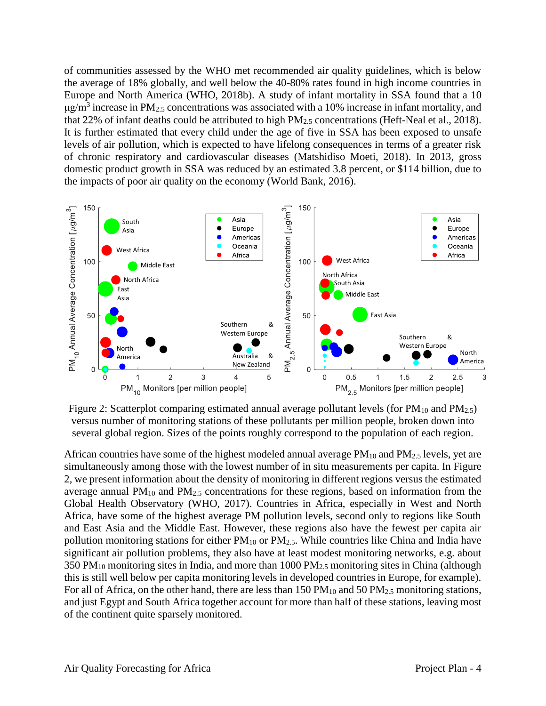of communities assessed by the WHO met recommended air quality guidelines, which is below the average of 18% globally, and well below the 40-80% rates found in high income countries in Europe and North America (WHO, 2018b). A study of infant mortality in SSA found that a 10  $\mu$ g/m<sup>3</sup> increase in PM<sub>2.5</sub> concentrations was associated with a 10% increase in infant mortality, and that 22% of infant deaths could be attributed to high  $PM_{2.5}$  concentrations (Heft-Neal et al., 2018). It is further estimated that every child under the age of five in SSA has been exposed to unsafe levels of air pollution, which is expected to have lifelong consequences in terms of a greater risk of chronic respiratory and cardiovascular diseases (Matshidiso Moeti, 2018). In 2013, gross domestic product growth in SSA was reduced by an estimated 3.8 percent, or \$114 billion, due to the impacts of poor air quality on the economy (World Bank, 2016).



<span id="page-6-0"></span>Figure 2: Scatterplot comparing estimated annual average pollutant levels (for  $PM_{10}$  and  $PM_{2.5}$ ) versus number of monitoring stations of these pollutants per million people, broken down into several global region. Sizes of the points roughly correspond to the population of each region.

African countries have some of the highest modeled annual average  $PM_{10}$  and  $PM_{2.5}$  levels, yet are simultaneously among those with the lowest number of in situ measurements per capita. In [Figure](#page-6-0)  [2,](#page-6-0) we present information about the density of monitoring in different regions versus the estimated average annual  $PM_{10}$  and  $PM_{2.5}$  concentrations for these regions, based on information from the Global Health Observatory (WHO, 2017). Countries in Africa, especially in West and North Africa, have some of the highest average PM pollution levels, second only to regions like South and East Asia and the Middle East. However, these regions also have the fewest per capita air pollution monitoring stations for either  $PM_{10}$  or  $PM_{2.5}$ . While countries like China and India have significant air pollution problems, they also have at least modest monitoring networks, e.g. about 350 PM<sub>10</sub> monitoring sites in India, and more than 1000 PM<sub>2.5</sub> monitoring sites in China (although this is still well below per capita monitoring levels in developed countries in Europe, for example). For all of Africa, on the other hand, there are less than 150 PM<sub>10</sub> and 50 PM<sub>2.5</sub> monitoring stations, and just Egypt and South Africa together account for more than half of these stations, leaving most of the continent quite sparsely monitored.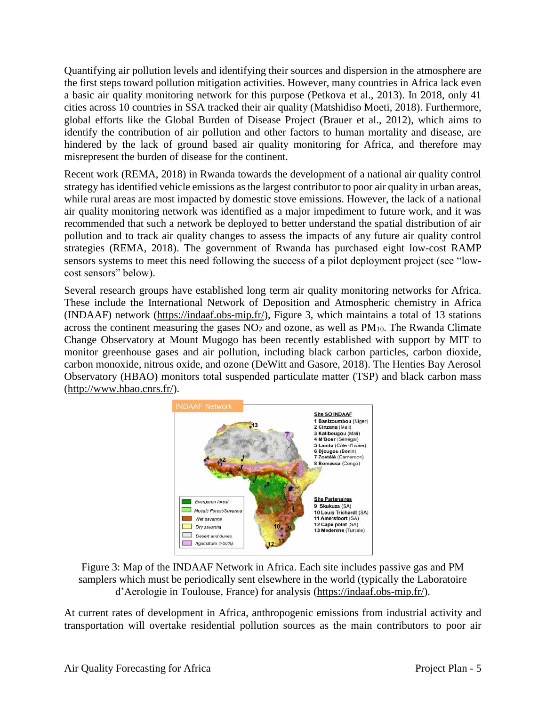Quantifying air pollution levels and identifying their sources and dispersion in the atmosphere are the first steps toward pollution mitigation activities. However, many countries in Africa lack even a basic air quality monitoring network for this purpose (Petkova et al., 2013). In 2018, only 41 cities across 10 countries in SSA tracked their air quality (Matshidiso Moeti, 2018). Furthermore, global efforts like the Global Burden of Disease Project (Brauer et al., 2012), which aims to identify the contribution of air pollution and other factors to human mortality and disease, are hindered by the lack of ground based air quality monitoring for Africa, and therefore may misrepresent the burden of disease for the continent.

Recent work (REMA, 2018) in Rwanda towards the development of a national air quality control strategy has identified vehicle emissions as the largest contributor to poor air quality in urban areas, while rural areas are most impacted by domestic stove emissions. However, the lack of a national air quality monitoring network was identified as a major impediment to future work, and it was recommended that such a network be deployed to better understand the spatial distribution of air pollution and to track air quality changes to assess the impacts of any future air quality control strategies (REMA, 2018). The government of Rwanda has purchased eight low-cost RAMP sensors systems to meet this need following the success of a pilot deployment project (see "lowcost sensors" below).

Several research groups have established long term air quality monitoring networks for Africa. These include the International Network of Deposition and Atmospheric chemistry in Africa (INDAAF) network [\(https://indaaf.obs-mip.fr/\)](https://indaaf.obs-mip.fr/), [Figure 3,](#page-7-0) which maintains a total of 13 stations across the continent measuring the gases  $NO<sub>2</sub>$  and ozone, as well as  $PM<sub>10</sub>$ . The Rwanda Climate Change Observatory at Mount Mugogo has been recently established with support by MIT to monitor greenhouse gases and air pollution, including black carbon particles, carbon dioxide, carbon monoxide, nitrous oxide, and ozone (DeWitt and Gasore, 2018). The Henties Bay Aerosol Observatory (HBAO) monitors total suspended particulate matter (TSP) and black carbon mass [\(http://www.hbao.cnrs.fr/\)](http://www.hbao.cnrs.fr/).



<span id="page-7-0"></span>

At current rates of development in Africa, anthropogenic emissions from industrial activity and transportation will overtake residential pollution sources as the main contributors to poor air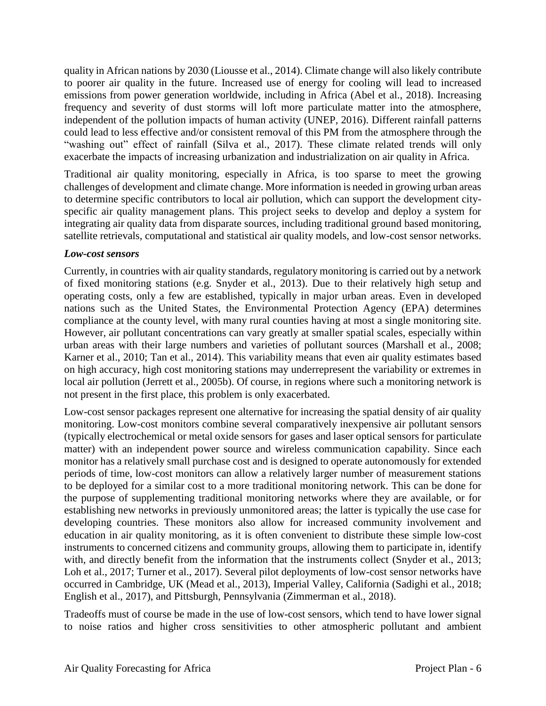quality in African nations by 2030 (Liousse et al., 2014). Climate change will also likely contribute to poorer air quality in the future. Increased use of energy for cooling will lead to increased emissions from power generation worldwide, including in Africa (Abel et al., 2018). Increasing frequency and severity of dust storms will loft more particulate matter into the atmosphere, independent of the pollution impacts of human activity (UNEP, 2016). Different rainfall patterns could lead to less effective and/or consistent removal of this PM from the atmosphere through the "washing out" effect of rainfall (Silva et al., 2017). These climate related trends will only exacerbate the impacts of increasing urbanization and industrialization on air quality in Africa.

Traditional air quality monitoring, especially in Africa, is too sparse to meet the growing challenges of development and climate change. More information is needed in growing urban areas to determine specific contributors to local air pollution, which can support the development cityspecific air quality management plans. This project seeks to develop and deploy a system for integrating air quality data from disparate sources, including traditional ground based monitoring, satellite retrievals, computational and statistical air quality models, and low-cost sensor networks.

## *Low-cost sensors*

Currently, in countries with air quality standards, regulatory monitoring is carried out by a network of fixed monitoring stations (e.g. Snyder et al., 2013). Due to their relatively high setup and operating costs, only a few are established, typically in major urban areas. Even in developed nations such as the United States, the Environmental Protection Agency (EPA) determines compliance at the county level, with many rural counties having at most a single monitoring site. However, air pollutant concentrations can vary greatly at smaller spatial scales, especially within urban areas with their large numbers and varieties of pollutant sources (Marshall et al., 2008; Karner et al., 2010; Tan et al., 2014). This variability means that even air quality estimates based on high accuracy, high cost monitoring stations may underrepresent the variability or extremes in local air pollution (Jerrett et al., 2005b). Of course, in regions where such a monitoring network is not present in the first place, this problem is only exacerbated.

Low-cost sensor packages represent one alternative for increasing the spatial density of air quality monitoring. Low-cost monitors combine several comparatively inexpensive air pollutant sensors (typically electrochemical or metal oxide sensors for gases and laser optical sensors for particulate matter) with an independent power source and wireless communication capability. Since each monitor has a relatively small purchase cost and is designed to operate autonomously for extended periods of time, low-cost monitors can allow a relatively larger number of measurement stations to be deployed for a similar cost to a more traditional monitoring network. This can be done for the purpose of supplementing traditional monitoring networks where they are available, or for establishing new networks in previously unmonitored areas; the latter is typically the use case for developing countries. These monitors also allow for increased community involvement and education in air quality monitoring, as it is often convenient to distribute these simple low-cost instruments to concerned citizens and community groups, allowing them to participate in, identify with, and directly benefit from the information that the instruments collect (Snyder et al., 2013; Loh et al., 2017; Turner et al., 2017). Several pilot deployments of low-cost sensor networks have occurred in Cambridge, UK (Mead et al., 2013), Imperial Valley, California (Sadighi et al., 2018; English et al., 2017), and Pittsburgh, Pennsylvania (Zimmerman et al., 2018).

Tradeoffs must of course be made in the use of low-cost sensors, which tend to have lower signal to noise ratios and higher cross sensitivities to other atmospheric pollutant and ambient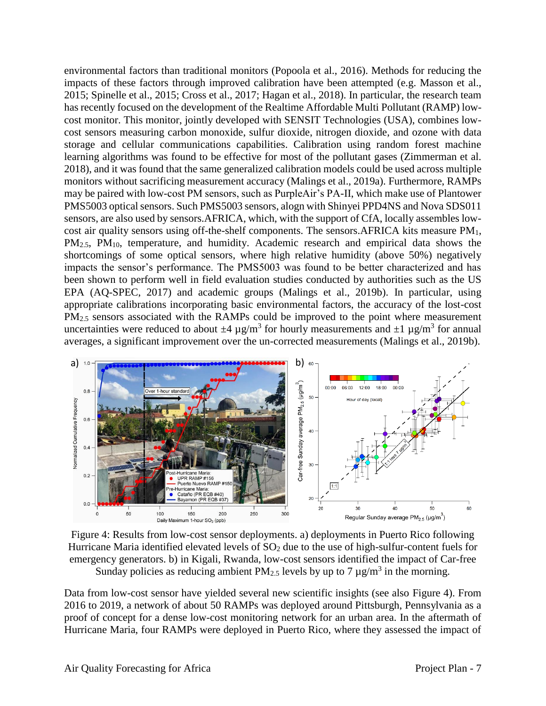environmental factors than traditional monitors (Popoola et al., 2016). Methods for reducing the impacts of these factors through improved calibration have been attempted (e.g. Masson et al., 2015; Spinelle et al., 2015; Cross et al., 2017; Hagan et al., 2018). In particular, the research team has recently focused on the development of the Realtime Affordable Multi Pollutant (RAMP) lowcost monitor. This monitor, jointly developed with SENSIT Technologies (USA), combines lowcost sensors measuring carbon monoxide, sulfur dioxide, nitrogen dioxide, and ozone with data storage and cellular communications capabilities. Calibration using random forest machine learning algorithms was found to be effective for most of the pollutant gases (Zimmerman et al. 2018), and it was found that the same generalized calibration models could be used across multiple monitors without sacrificing measurement accuracy (Malings et al., 2019a). Furthermore, RAMPs may be paired with low-cost PM sensors, such as PurpleAir's PA-II, which make use of Plantower PMS5003 optical sensors. Such PMS5003 sensors, alogn with Shinyei PPD4NS and Nova SDS011 sensors, are also used by sensors.AFRICA, which, with the support of CfA, locally assembles lowcost air quality sensors using off-the-shelf components. The sensors.AFRICA kits measure PM<sub>1</sub>, PM<sub>2.5</sub>, PM<sub>10</sub>, temperature, and humidity. Academic research and empirical data shows the shortcomings of some optical sensors, where high relative humidity (above 50%) negatively impacts the sensor's performance. The PMS5003 was found to be better characterized and has been shown to perform well in field evaluation studies conducted by authorities such as the US EPA (AQ-SPEC, 2017) and academic groups (Malings et al., 2019b). In particular, using appropriate calibrations incorporating basic environmental factors, the accuracy of the lost-cost PM<sub>2.5</sub> sensors associated with the RAMPs could be improved to the point where measurement uncertainties were reduced to about  $\pm 4 \mu$ g/m<sup>3</sup> for hourly measurements and  $\pm 1 \mu$ g/m<sup>3</sup> for annual averages, a significant improvement over the un-corrected measurements (Malings et al., 2019b).



<span id="page-9-0"></span>Figure 4: Results from low-cost sensor deployments. a) deployments in Puerto Rico following Hurricane Maria identified elevated levels of  $SO<sub>2</sub>$  due to the use of high-sulfur-content fuels for emergency generators. b) in Kigali, Rwanda, low-cost sensors identified the impact of Car-free Sunday policies as reducing ambient  $PM_{2.5}$  levels by up to 7  $\mu$ g/m<sup>3</sup> in the morning.

Data from low-cost sensor have yielded several new scientific insights (see also [Figure 4\)](#page-9-0). From 2016 to 2019, a network of about 50 RAMPs was deployed around Pittsburgh, Pennsylvania as a proof of concept for a dense low-cost monitoring network for an urban area. In the aftermath of Hurricane Maria, four RAMPs were deployed in Puerto Rico, where they assessed the impact of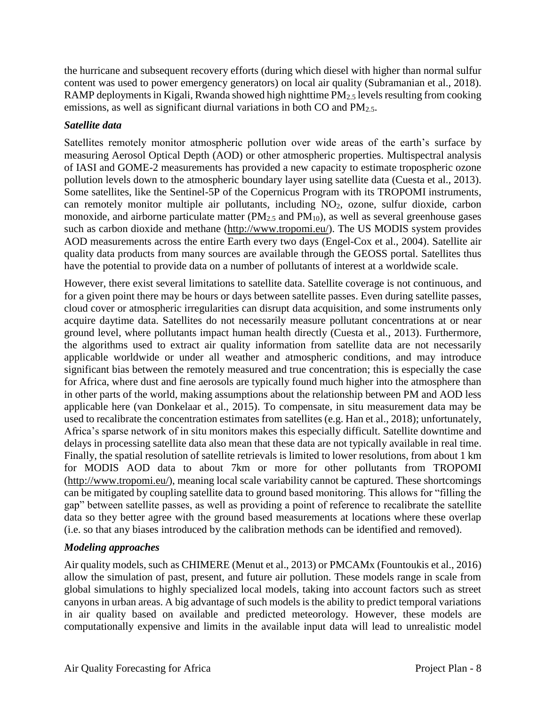the hurricane and subsequent recovery efforts (during which diesel with higher than normal sulfur content was used to power emergency generators) on local air quality (Subramanian et al., 2018). RAMP deployments in Kigali, Rwanda showed high nighttime PM2.5 levels resulting from cooking emissions, as well as significant diurnal variations in both CO and PM<sub>2.5</sub>.

# *Satellite data*

Satellites remotely monitor atmospheric pollution over wide areas of the earth's surface by measuring Aerosol Optical Depth (AOD) or other atmospheric properties. Multispectral analysis of IASI and GOME-2 measurements has provided a new capacity to estimate tropospheric ozone pollution levels down to the atmospheric boundary layer using satellite data (Cuesta et al., 2013). Some satellites, like the Sentinel-5P of the Copernicus Program with its TROPOMI instruments, can remotely monitor multiple air pollutants, including NO<sub>2</sub>, ozone, sulfur dioxide, carbon monoxide, and airborne particulate matter  $(PM_{2.5}$  and  $PM_{10}$ ), as well as several greenhouse gases such as carbon dioxide and methane (http://www.tropomi.eu/). The US MODIS system provides AOD measurements across the entire Earth every two days (Engel-Cox et al., 2004). Satellite air quality data products from many sources are available through the GEOSS portal. Satellites thus have the potential to provide data on a number of pollutants of interest at a worldwide scale.

However, there exist several limitations to satellite data. Satellite coverage is not continuous, and for a given point there may be hours or days between satellite passes. Even during satellite passes, cloud cover or atmospheric irregularities can disrupt data acquisition, and some instruments only acquire daytime data. Satellites do not necessarily measure pollutant concentrations at or near ground level, where pollutants impact human health directly (Cuesta et al., 2013). Furthermore, the algorithms used to extract air quality information from satellite data are not necessarily applicable worldwide or under all weather and atmospheric conditions, and may introduce significant bias between the remotely measured and true concentration; this is especially the case for Africa, where dust and fine aerosols are typically found much higher into the atmosphere than in other parts of the world, making assumptions about the relationship between PM and AOD less applicable here (van Donkelaar et al., 2015). To compensate, in situ measurement data may be used to recalibrate the concentration estimates from satellites (e.g. Han et al., 2018); unfortunately, Africa's sparse network of in situ monitors makes this especially difficult. Satellite downtime and delays in processing satellite data also mean that these data are not typically available in real time. Finally, the spatial resolution of satellite retrievals is limited to lower resolutions, from about 1 km for MODIS AOD data to about 7km or more for other pollutants from TROPOMI (http://www.tropomi.eu/), meaning local scale variability cannot be captured. These shortcomings can be mitigated by coupling satellite data to ground based monitoring. This allows for "filling the gap" between satellite passes, as well as providing a point of reference to recalibrate the satellite data so they better agree with the ground based measurements at locations where these overlap (i.e. so that any biases introduced by the calibration methods can be identified and removed).

# *Modeling approaches*

Air quality models, such as CHIMERE (Menut et al., 2013) or PMCAMx (Fountoukis et al., 2016) allow the simulation of past, present, and future air pollution. These models range in scale from global simulations to highly specialized local models, taking into account factors such as street canyons in urban areas. A big advantage of such models is the ability to predict temporal variations in air quality based on available and predicted meteorology. However, these models are computationally expensive and limits in the available input data will lead to unrealistic model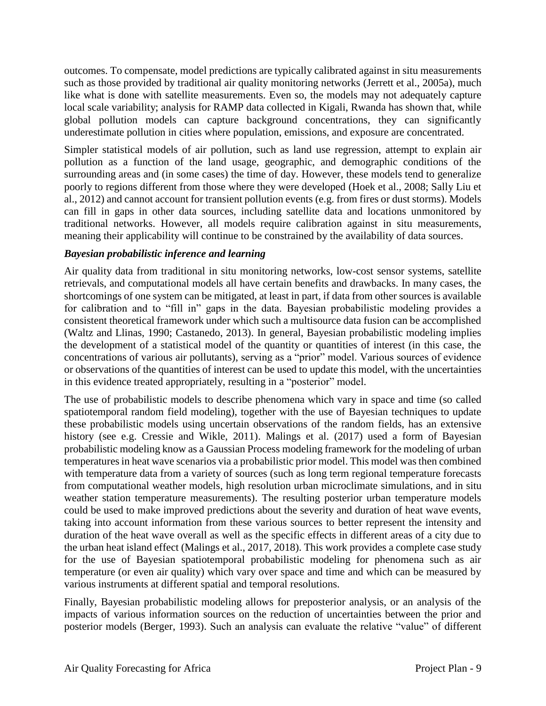outcomes. To compensate, model predictions are typically calibrated against in situ measurements such as those provided by traditional air quality monitoring networks (Jerrett et al., 2005a), much like what is done with satellite measurements. Even so, the models may not adequately capture local scale variability; analysis for RAMP data collected in Kigali, Rwanda has shown that, while global pollution models can capture background concentrations, they can significantly underestimate pollution in cities where population, emissions, and exposure are concentrated.

Simpler statistical models of air pollution, such as land use regression, attempt to explain air pollution as a function of the land usage, geographic, and demographic conditions of the surrounding areas and (in some cases) the time of day. However, these models tend to generalize poorly to regions different from those where they were developed (Hoek et al., 2008; Sally Liu et al., 2012) and cannot account for transient pollution events (e.g. from fires or dust storms). Models can fill in gaps in other data sources, including satellite data and locations unmonitored by traditional networks. However, all models require calibration against in situ measurements, meaning their applicability will continue to be constrained by the availability of data sources.

# *Bayesian probabilistic inference and learning*

Air quality data from traditional in situ monitoring networks, low-cost sensor systems, satellite retrievals, and computational models all have certain benefits and drawbacks. In many cases, the shortcomings of one system can be mitigated, at least in part, if data from other sources is available for calibration and to "fill in" gaps in the data. Bayesian probabilistic modeling provides a consistent theoretical framework under which such a multisource data fusion can be accomplished (Waltz and Llinas, 1990; Castanedo, 2013). In general, Bayesian probabilistic modeling implies the development of a statistical model of the quantity or quantities of interest (in this case, the concentrations of various air pollutants), serving as a "prior" model. Various sources of evidence or observations of the quantities of interest can be used to update this model, with the uncertainties in this evidence treated appropriately, resulting in a "posterior" model.

The use of probabilistic models to describe phenomena which vary in space and time (so called spatiotemporal random field modeling), together with the use of Bayesian techniques to update these probabilistic models using uncertain observations of the random fields, has an extensive history (see e.g. Cressie and Wikle, 2011). Malings et al. (2017) used a form of Bayesian probabilistic modeling know as a Gaussian Process modeling framework for the modeling of urban temperatures in heat wave scenarios via a probabilistic prior model. This model was then combined with temperature data from a variety of sources (such as long term regional temperature forecasts from computational weather models, high resolution urban microclimate simulations, and in situ weather station temperature measurements). The resulting posterior urban temperature models could be used to make improved predictions about the severity and duration of heat wave events, taking into account information from these various sources to better represent the intensity and duration of the heat wave overall as well as the specific effects in different areas of a city due to the urban heat island effect (Malings et al., 2017, 2018). This work provides a complete case study for the use of Bayesian spatiotemporal probabilistic modeling for phenomena such as air temperature (or even air quality) which vary over space and time and which can be measured by various instruments at different spatial and temporal resolutions.

Finally, Bayesian probabilistic modeling allows for preposterior analysis, or an analysis of the impacts of various information sources on the reduction of uncertainties between the prior and posterior models (Berger, 1993). Such an analysis can evaluate the relative "value" of different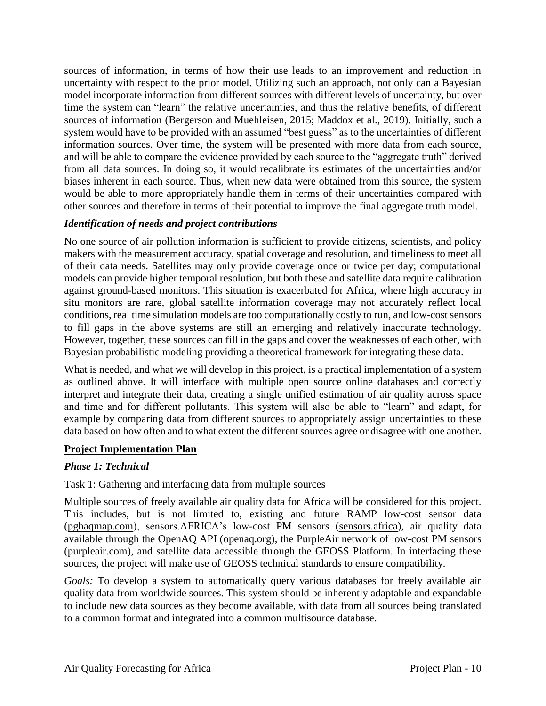sources of information, in terms of how their use leads to an improvement and reduction in uncertainty with respect to the prior model. Utilizing such an approach, not only can a Bayesian model incorporate information from different sources with different levels of uncertainty, but over time the system can "learn" the relative uncertainties, and thus the relative benefits, of different sources of information (Bergerson and Muehleisen, 2015; Maddox et al., 2019). Initially, such a system would have to be provided with an assumed "best guess" as to the uncertainties of different information sources. Over time, the system will be presented with more data from each source, and will be able to compare the evidence provided by each source to the "aggregate truth" derived from all data sources. In doing so, it would recalibrate its estimates of the uncertainties and/or biases inherent in each source. Thus, when new data were obtained from this source, the system would be able to more appropriately handle them in terms of their uncertainties compared with other sources and therefore in terms of their potential to improve the final aggregate truth model.

# *Identification of needs and project contributions*

No one source of air pollution information is sufficient to provide citizens, scientists, and policy makers with the measurement accuracy, spatial coverage and resolution, and timeliness to meet all of their data needs. Satellites may only provide coverage once or twice per day; computational models can provide higher temporal resolution, but both these and satellite data require calibration against ground-based monitors. This situation is exacerbated for Africa, where high accuracy in situ monitors are rare, global satellite information coverage may not accurately reflect local conditions, real time simulation models are too computationally costly to run, and low-cost sensors to fill gaps in the above systems are still an emerging and relatively inaccurate technology. However, together, these sources can fill in the gaps and cover the weaknesses of each other, with Bayesian probabilistic modeling providing a theoretical framework for integrating these data.

What is needed, and what we will develop in this project, is a practical implementation of a system as outlined above. It will interface with multiple open source online databases and correctly interpret and integrate their data, creating a single unified estimation of air quality across space and time and for different pollutants. This system will also be able to "learn" and adapt, for example by comparing data from different sources to appropriately assign uncertainties to these data based on how often and to what extent the different sources agree or disagree with one another.

# **Project Implementation Plan**

# *Phase 1: Technical*

# <span id="page-12-0"></span>Task 1: Gathering and interfacing data from multiple sources

Multiple sources of freely available air quality data for Africa will be considered for this project. This includes, but is not limited to, existing and future RAMP low-cost sensor data (pghaqmap.com), sensors.AFRICA's low-cost PM sensors (sensors.africa), air quality data available through the OpenAQ API (openaq.org), the PurpleAir network of low-cost PM sensors (purpleair.com), and satellite data accessible through the GEOSS Platform. In interfacing these sources, the project will make use of GEOSS technical standards to ensure compatibility.

*Goals:* To develop a system to automatically query various databases for freely available air quality data from worldwide sources. This system should be inherently adaptable and expandable to include new data sources as they become available, with data from all sources being translated to a common format and integrated into a common multisource database.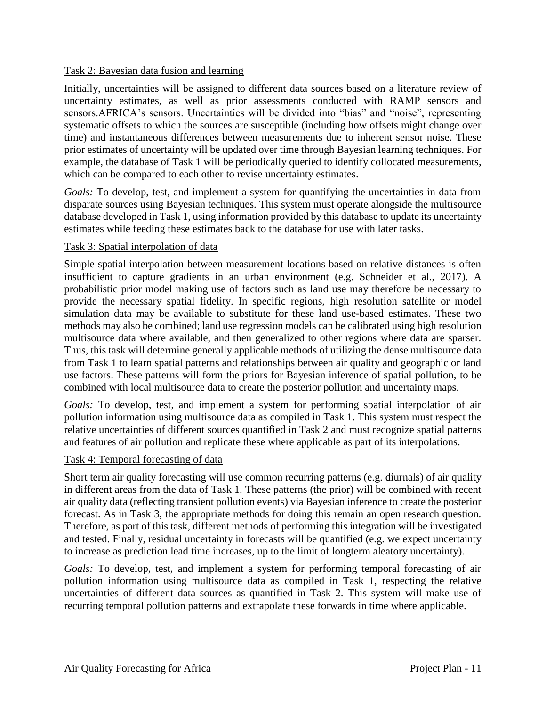## <span id="page-13-0"></span>Task 2: Bayesian data fusion and learning

Initially, uncertainties will be assigned to different data sources based on a literature review of uncertainty estimates, as well as prior assessments conducted with RAMP sensors and sensors.AFRICA's sensors. Uncertainties will be divided into "bias" and "noise", representing systematic offsets to which the sources are susceptible (including how offsets might change over time) and instantaneous differences between measurements due to inherent sensor noise. These prior estimates of uncertainty will be updated over time through Bayesian learning techniques. For example, the database of Task 1 will be periodically queried to identify collocated measurements, which can be compared to each other to revise uncertainty estimates.

*Goals:* To develop, test, and implement a system for quantifying the uncertainties in data from disparate sources using Bayesian techniques. This system must operate alongside the multisource database developed in [Task 1,](#page-12-0) using information provided by this database to update its uncertainty estimates while feeding these estimates back to the database for use with later tasks.

## <span id="page-13-1"></span>Task 3: Spatial interpolation of data

Simple spatial interpolation between measurement locations based on relative distances is often insufficient to capture gradients in an urban environment (e.g. Schneider et al., 2017). A probabilistic prior model making use of factors such as land use may therefore be necessary to provide the necessary spatial fidelity. In specific regions, high resolution satellite or model simulation data may be available to substitute for these land use-based estimates. These two methods may also be combined; land use regression models can be calibrated using high resolution multisource data where available, and then generalized to other regions where data are sparser. Thus, this task will determine generally applicable methods of utilizing the dense multisource data from [Task 1](#page-12-0) to learn spatial patterns and relationships between air quality and geographic or land use factors. These patterns will form the priors for Bayesian inference of spatial pollution, to be combined with local multisource data to create the posterior pollution and uncertainty maps.

*Goals:* To develop, test, and implement a system for performing spatial interpolation of air pollution information using multisource data as compiled in [Task 1.](#page-12-0) This system must respect the relative uncertainties of different sources quantified in [Task 2](#page-13-0) and must recognize spatial patterns and features of air pollution and replicate these where applicable as part of its interpolations.

## <span id="page-13-2"></span>Task 4: Temporal forecasting of data

Short term air quality forecasting will use common recurring patterns (e.g. diurnals) of air quality in different areas from the data of [Task 1.](#page-12-0) These patterns (the prior) will be combined with recent air quality data (reflecting transient pollution events) via Bayesian inference to create the posterior forecast. As in [Task 3,](#page-13-1) the appropriate methods for doing this remain an open research question. Therefore, as part of this task, different methods of performing this integration will be investigated and tested. Finally, residual uncertainty in forecasts will be quantified (e.g. we expect uncertainty to increase as prediction lead time increases, up to the limit of longterm aleatory uncertainty).

*Goals:* To develop, test, and implement a system for performing temporal forecasting of air pollution information using multisource data as compiled in [Task 1,](#page-12-0) respecting the relative uncertainties of different data sources as quantified in [Task 2.](#page-13-0) This system will make use of recurring temporal pollution patterns and extrapolate these forwards in time where applicable.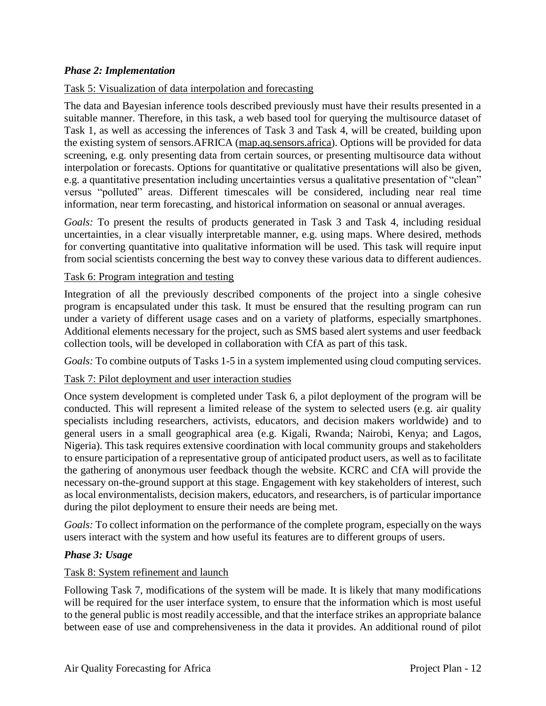## *Phase 2: Implementation*

## Task 5: Visualization of data interpolation and forecasting

The data and Bayesian inference tools described previously must have their results presented in a suitable manner. Therefore, in this task, a web based tool for querying the multisource dataset of [Task 1,](#page-12-0) as well as accessing the inferences of [Task 3](#page-13-1) and [Task 4,](#page-13-2) will be created, building upon the existing system of sensors.AFRICA (map.aq.sensors.africa). Options will be provided for data screening, e.g. only presenting data from certain sources, or presenting multisource data without interpolation or forecasts. Options for quantitative or qualitative presentations will also be given, e.g. a quantitative presentation including uncertainties versus a qualitative presentation of "clean" versus "polluted" areas. Different timescales will be considered, including near real time information, near term forecasting, and historical information on seasonal or annual averages.

*Goals:* To present the results of products generated in [Task 3](#page-13-1) and [Task 4,](#page-13-2) including residual uncertainties, in a clear visually interpretable manner, e.g. using maps. Where desired, methods for converting quantitative into qualitative information will be used. This task will require input from social scientists concerning the best way to convey these various data to different audiences.

## <span id="page-14-0"></span>Task 6: Program integration and testing

Integration of all the previously described components of the project into a single cohesive program is encapsulated under this task. It must be ensured that the resulting program can run under a variety of different usage cases and on a variety of platforms, especially smartphones. Additional elements necessary for the project, such as SMS based alert systems and user feedback collection tools, will be developed in collaboration with CfA as part of this task.

*Goals:* To combine outputs of Tasks 1-5 in a system implemented using cloud computing services.

## <span id="page-14-1"></span>Task 7: Pilot deployment and user interaction studies

Once system development is completed under [Task 6,](#page-14-0) a pilot deployment of the program will be conducted. This will represent a limited release of the system to selected users (e.g. air quality specialists including researchers, activists, educators, and decision makers worldwide) and to general users in a small geographical area (e.g. Kigali, Rwanda; Nairobi, Kenya; and Lagos, Nigeria). This task requires extensive coordination with local community groups and stakeholders to ensure participation of a representative group of anticipated product users, as well as to facilitate the gathering of anonymous user feedback though the website. KCRC and CfA will provide the necessary on-the-ground support at this stage. Engagement with key stakeholders of interest, such as local environmentalists, decision makers, educators, and researchers, is of particular importance during the pilot deployment to ensure their needs are being met.

*Goals:* To collect information on the performance of the complete program, especially on the ways users interact with the system and how useful its features are to different groups of users.

## *Phase 3: Usage*

## <span id="page-14-2"></span>Task 8: System refinement and launch

Following [Task 7,](#page-14-1) modifications of the system will be made. It is likely that many modifications will be required for the user interface system, to ensure that the information which is most useful to the general public is most readily accessible, and that the interface strikes an appropriate balance between ease of use and comprehensiveness in the data it provides. An additional round of pilot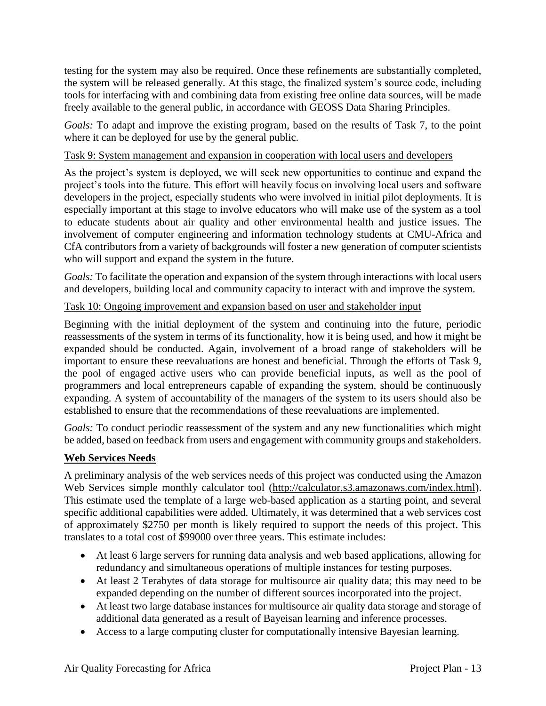testing for the system may also be required. Once these refinements are substantially completed, the system will be released generally. At this stage, the finalized system's source code, including tools for interfacing with and combining data from existing free online data sources, will be made freely available to the general public, in accordance with GEOSS Data Sharing Principles.

*Goals:* To adapt and improve the existing program, based on the results of [Task 7,](#page-14-1) to the point where it can be deployed for use by the general public.

## <span id="page-15-0"></span>Task 9: System management and expansion in cooperation with local users and developers

As the project's system is deployed, we will seek new opportunities to continue and expand the project's tools into the future. This effort will heavily focus on involving local users and software developers in the project, especially students who were involved in initial pilot deployments. It is especially important at this stage to involve educators who will make use of the system as a tool to educate students about air quality and other environmental health and justice issues. The involvement of computer engineering and information technology students at CMU-Africa and CfA contributors from a variety of backgrounds will foster a new generation of computer scientists who will support and expand the system in the future.

*Goals:* To facilitate the operation and expansion of the system through interactions with local users and developers, building local and community capacity to interact with and improve the system.

# Task 10: Ongoing improvement and expansion based on user and stakeholder input

Beginning with the initial deployment of the system and continuing into the future, periodic reassessments of the system in terms of its functionality, how it is being used, and how it might be expanded should be conducted. Again, involvement of a broad range of stakeholders will be important to ensure these reevaluations are honest and beneficial. Through the efforts of [Task 9,](#page-15-0) the pool of engaged active users who can provide beneficial inputs, as well as the pool of programmers and local entrepreneurs capable of expanding the system, should be continuously expanding. A system of accountability of the managers of the system to its users should also be established to ensure that the recommendations of these reevaluations are implemented.

*Goals:* To conduct periodic reassessment of the system and any new functionalities which might be added, based on feedback from users and engagement with community groups and stakeholders.

# **Web Services Needs**

A preliminary analysis of the web services needs of this project was conducted using the Amazon Web Services simple monthly calculator tool [\(http://calculator.s3.amazonaws.com/index.html\)](http://calculator.s3.amazonaws.com/index.html). This estimate used the template of a large web-based application as a starting point, and several specific additional capabilities were added. Ultimately, it was determined that a web services cost of approximately \$2750 per month is likely required to support the needs of this project. This translates to a total cost of \$99000 over three years. This estimate includes:

- At least 6 large servers for running data analysis and web based applications, allowing for redundancy and simultaneous operations of multiple instances for testing purposes.
- At least 2 Terabytes of data storage for multisource air quality data; this may need to be expanded depending on the number of different sources incorporated into the project.
- At least two large database instances for multisource air quality data storage and storage of additional data generated as a result of Bayeisan learning and inference processes.
- Access to a large computing cluster for computationally intensive Bayesian learning.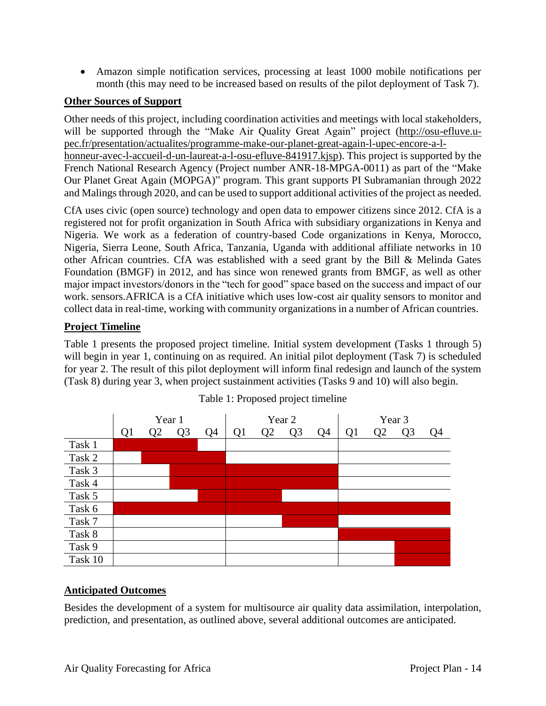• Amazon simple notification services, processing at least 1000 mobile notifications per month (this may need to be increased based on results of the pilot deployment of [Task 7\)](#page-14-1).

## **Other Sources of Support**

Other needs of this project, including coordination activities and meetings with local stakeholders, will be supported through the "Make Air Quality Great Again" project [\(http://osu-efluve.u](http://osu-efluve.u-pec.fr/presentation/actualites/programme-make-our-planet-great-again-l-upec-encore-a-l-honneur-avec-l-accueil-d-un-laureat-a-l-osu-efluve-841917.kjsp)[pec.fr/presentation/actualites/programme-make-our-planet-great-again-l-upec-encore-a-l](http://osu-efluve.u-pec.fr/presentation/actualites/programme-make-our-planet-great-again-l-upec-encore-a-l-honneur-avec-l-accueil-d-un-laureat-a-l-osu-efluve-841917.kjsp)[honneur-avec-l-accueil-d-un-laureat-a-l-osu-efluve-841917.kjsp\)](http://osu-efluve.u-pec.fr/presentation/actualites/programme-make-our-planet-great-again-l-upec-encore-a-l-honneur-avec-l-accueil-d-un-laureat-a-l-osu-efluve-841917.kjsp). This project is supported by the French National Research Agency (Project number ANR-18-MPGA-0011) as part of the "Make Our Planet Great Again (MOPGA)" program. This grant supports PI Subramanian through 2022 and Malings through 2020, and can be used to support additional activities of the project as needed.

CfA uses civic (open source) technology and open data to empower citizens since 2012. CfA is a registered not for profit organization in South Africa with subsidiary organizations in Kenya and Nigeria. We work as a federation of country-based Code organizations in Kenya, Morocco, Nigeria, Sierra Leone, South Africa, Tanzania, Uganda with additional affiliate networks in 10 other African countries. CfA was established with a seed grant by the Bill & Melinda Gates Foundation (BMGF) in 2012, and has since won renewed grants from BMGF, as well as other major impact investors/donors in the "tech for good" space based on the success and impact of our work. sensors.AFRICA is a CfA initiative which uses low-cost air quality sensors to monitor and collect data in real-time, working with community organizations in a number of African countries.

## **Project Timeline**

[Table 1](#page-16-0) presents the proposed project timeline. Initial system development (Tasks 1 through 5) will begin in year 1, continuing on as required. An initial pilot deployment [\(Task 7\)](#page-14-1) is scheduled for year 2. The result of this pilot deployment will inform final redesign and launch of the system [\(Task 8\)](#page-14-2) during year 3, when project sustainment activities (Tasks 9 and 10) will also begin.

<span id="page-16-0"></span>

## Table 1: Proposed project timeline

## **Anticipated Outcomes**

Besides the development of a system for multisource air quality data assimilation, interpolation, prediction, and presentation, as outlined above, several additional outcomes are anticipated.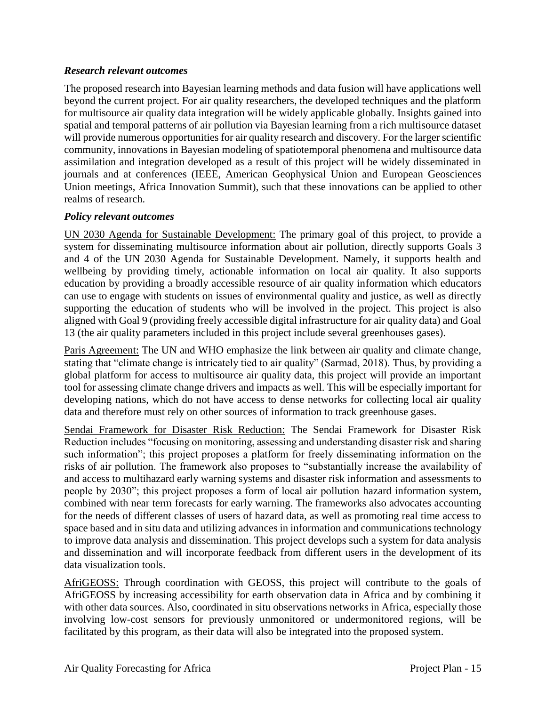## *Research relevant outcomes*

The proposed research into Bayesian learning methods and data fusion will have applications well beyond the current project. For air quality researchers, the developed techniques and the platform for multisource air quality data integration will be widely applicable globally. Insights gained into spatial and temporal patterns of air pollution via Bayesian learning from a rich multisource dataset will provide numerous opportunities for air quality research and discovery. For the larger scientific community, innovations in Bayesian modeling of spatiotemporal phenomena and multisource data assimilation and integration developed as a result of this project will be widely disseminated in journals and at conferences (IEEE, American Geophysical Union and European Geosciences Union meetings, Africa Innovation Summit), such that these innovations can be applied to other realms of research.

## *Policy relevant outcomes*

UN 2030 Agenda for Sustainable Development: The primary goal of this project, to provide a system for disseminating multisource information about air pollution, directly supports Goals 3 and 4 of the UN 2030 Agenda for Sustainable Development. Namely, it supports health and wellbeing by providing timely, actionable information on local air quality. It also supports education by providing a broadly accessible resource of air quality information which educators can use to engage with students on issues of environmental quality and justice, as well as directly supporting the education of students who will be involved in the project. This project is also aligned with Goal 9 (providing freely accessible digital infrastructure for air quality data) and Goal 13 (the air quality parameters included in this project include several greenhouses gases).

Paris Agreement: The UN and WHO emphasize the link between air quality and climate change, stating that "climate change is intricately tied to air quality" (Sarmad, 2018). Thus, by providing a global platform for access to multisource air quality data, this project will provide an important tool for assessing climate change drivers and impacts as well. This will be especially important for developing nations, which do not have access to dense networks for collecting local air quality data and therefore must rely on other sources of information to track greenhouse gases.

Sendai Framework for Disaster Risk Reduction: The Sendai Framework for Disaster Risk Reduction includes "focusing on monitoring, assessing and understanding disaster risk and sharing such information"; this project proposes a platform for freely disseminating information on the risks of air pollution. The framework also proposes to "substantially increase the availability of and access to multihazard early warning systems and disaster risk information and assessments to people by 2030"; this project proposes a form of local air pollution hazard information system, combined with near term forecasts for early warning. The frameworks also advocates accounting for the needs of different classes of users of hazard data, as well as promoting real time access to space based and in situ data and utilizing advances in information and communications technology to improve data analysis and dissemination. This project develops such a system for data analysis and dissemination and will incorporate feedback from different users in the development of its data visualization tools.

AfriGEOSS: Through coordination with GEOSS, this project will contribute to the goals of AfriGEOSS by increasing accessibility for earth observation data in Africa and by combining it with other data sources. Also, coordinated in situ observations networks in Africa, especially those involving low-cost sensors for previously unmonitored or undermonitored regions, will be facilitated by this program, as their data will also be integrated into the proposed system.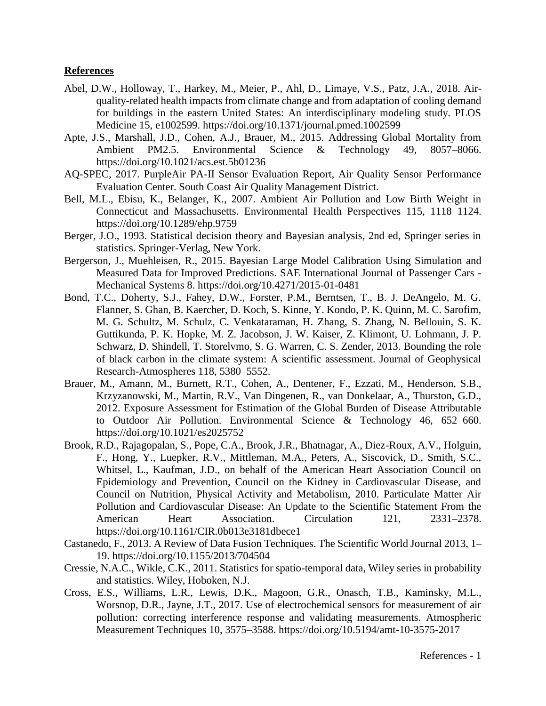#### **References**

- Abel, D.W., Holloway, T., Harkey, M., Meier, P., Ahl, D., Limaye, V.S., Patz, J.A., 2018. Airquality-related health impacts from climate change and from adaptation of cooling demand for buildings in the eastern United States: An interdisciplinary modeling study. PLOS Medicine 15, e1002599. https://doi.org/10.1371/journal.pmed.1002599
- Apte, J.S., Marshall, J.D., Cohen, A.J., Brauer, M., 2015. Addressing Global Mortality from Ambient PM2.5. Environmental Science & Technology 49, 8057–8066. https://doi.org/10.1021/acs.est.5b01236
- AQ-SPEC, 2017. PurpleAir PA-II Sensor Evaluation Report, Air Quality Sensor Performance Evaluation Center. South Coast Air Quality Management District.
- Bell, M.L., Ebisu, K., Belanger, K., 2007. Ambient Air Pollution and Low Birth Weight in Connecticut and Massachusetts. Environmental Health Perspectives 115, 1118–1124. https://doi.org/10.1289/ehp.9759
- Berger, J.O., 1993. Statistical decision theory and Bayesian analysis, 2nd ed, Springer series in statistics. Springer-Verlag, New York.
- Bergerson, J., Muehleisen, R., 2015. Bayesian Large Model Calibration Using Simulation and Measured Data for Improved Predictions. SAE International Journal of Passenger Cars - Mechanical Systems 8. https://doi.org/10.4271/2015-01-0481
- Bond, T.C., Doherty, S.J., Fahey, D.W., Forster, P.M., Berntsen, T., B. J. DeAngelo, M. G. Flanner, S. Ghan, B. Kaercher, D. Koch, S. Kinne, Y. Kondo, P. K. Quinn, M. C. Sarofim, M. G. Schultz, M. Schulz, C. Venkataraman, H. Zhang, S. Zhang, N. Bellouin, S. K. Guttikunda, P. K. Hopke, M. Z. Jacobson, J. W. Kaiser, Z. Klimont, U. Lohmann, J. P. Schwarz, D. Shindell, T. Storelvmo, S. G. Warren, C. S. Zender, 2013. Bounding the role of black carbon in the climate system: A scientific assessment. Journal of Geophysical Research-Atmospheres 118, 5380–5552.
- Brauer, M., Amann, M., Burnett, R.T., Cohen, A., Dentener, F., Ezzati, M., Henderson, S.B., Krzyzanowski, M., Martin, R.V., Van Dingenen, R., van Donkelaar, A., Thurston, G.D., 2012. Exposure Assessment for Estimation of the Global Burden of Disease Attributable to Outdoor Air Pollution. Environmental Science & Technology 46, 652–660. https://doi.org/10.1021/es2025752
- Brook, R.D., Rajagopalan, S., Pope, C.A., Brook, J.R., Bhatnagar, A., Diez-Roux, A.V., Holguin, F., Hong, Y., Luepker, R.V., Mittleman, M.A., Peters, A., Siscovick, D., Smith, S.C., Whitsel, L., Kaufman, J.D., on behalf of the American Heart Association Council on Epidemiology and Prevention, Council on the Kidney in Cardiovascular Disease, and Council on Nutrition, Physical Activity and Metabolism, 2010. Particulate Matter Air Pollution and Cardiovascular Disease: An Update to the Scientific Statement From the American Heart Association. Circulation 121, 2331–2378. https://doi.org/10.1161/CIR.0b013e3181dbece1
- Castanedo, F., 2013. A Review of Data Fusion Techniques. The Scientific World Journal 2013, 1– 19. https://doi.org/10.1155/2013/704504
- Cressie, N.A.C., Wikle, C.K., 2011. Statistics for spatio-temporal data, Wiley series in probability and statistics. Wiley, Hoboken, N.J.
- Cross, E.S., Williams, L.R., Lewis, D.K., Magoon, G.R., Onasch, T.B., Kaminsky, M.L., Worsnop, D.R., Jayne, J.T., 2017. Use of electrochemical sensors for measurement of air pollution: correcting interference response and validating measurements. Atmospheric Measurement Techniques 10, 3575–3588. https://doi.org/10.5194/amt-10-3575-2017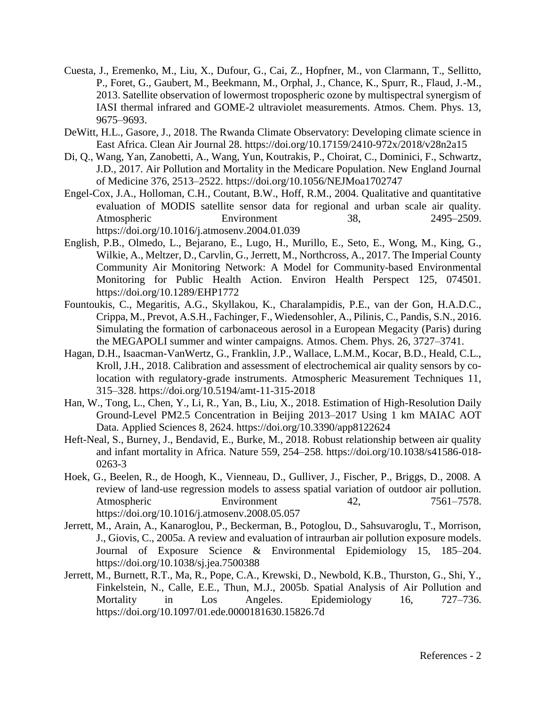- Cuesta, J., Eremenko, M., Liu, X., Dufour, G., Cai, Z., Hopfner, M., von Clarmann, T., Sellitto, P., Foret, G., Gaubert, M., Beekmann, M., Orphal, J., Chance, K., Spurr, R., Flaud, J.-M., 2013. Satellite observation of lowermost tropospheric ozone by multispectral synergism of IASI thermal infrared and GOME-2 ultraviolet measurements. Atmos. Chem. Phys. 13, 9675–9693.
- DeWitt, H.L., Gasore, J., 2018. The Rwanda Climate Observatory: Developing climate science in East Africa. Clean Air Journal 28. https://doi.org/10.17159/2410-972x/2018/v28n2a15
- Di, Q., Wang, Yan, Zanobetti, A., Wang, Yun, Koutrakis, P., Choirat, C., Dominici, F., Schwartz, J.D., 2017. Air Pollution and Mortality in the Medicare Population. New England Journal of Medicine 376, 2513–2522. https://doi.org/10.1056/NEJMoa1702747
- Engel-Cox, J.A., Holloman, C.H., Coutant, B.W., Hoff, R.M., 2004. Qualitative and quantitative evaluation of MODIS satellite sensor data for regional and urban scale air quality. Atmospheric Environment 38, 2495–2509. https://doi.org/10.1016/j.atmosenv.2004.01.039
- English, P.B., Olmedo, L., Bejarano, E., Lugo, H., Murillo, E., Seto, E., Wong, M., King, G., Wilkie, A., Meltzer, D., Carvlin, G., Jerrett, M., Northcross, A., 2017. The Imperial County Community Air Monitoring Network: A Model for Community-based Environmental Monitoring for Public Health Action. Environ Health Perspect 125, 074501. https://doi.org/10.1289/EHP1772
- Fountoukis, C., Megaritis, A.G., Skyllakou, K., Charalampidis, P.E., van der Gon, H.A.D.C., Crippa, M., Prevot, A.S.H., Fachinger, F., Wiedensohler, A., Pilinis, C., Pandis, S.N., 2016. Simulating the formation of carbonaceous aerosol in a European Megacity (Paris) during the MEGAPOLI summer and winter campaigns. Atmos. Chem. Phys. 26, 3727–3741.
- Hagan, D.H., Isaacman-VanWertz, G., Franklin, J.P., Wallace, L.M.M., Kocar, B.D., Heald, C.L., Kroll, J.H., 2018. Calibration and assessment of electrochemical air quality sensors by colocation with regulatory-grade instruments. Atmospheric Measurement Techniques 11, 315–328. https://doi.org/10.5194/amt-11-315-2018
- Han, W., Tong, L., Chen, Y., Li, R., Yan, B., Liu, X., 2018. Estimation of High-Resolution Daily Ground-Level PM2.5 Concentration in Beijing 2013–2017 Using 1 km MAIAC AOT Data. Applied Sciences 8, 2624. https://doi.org/10.3390/app8122624
- Heft-Neal, S., Burney, J., Bendavid, E., Burke, M., 2018. Robust relationship between air quality and infant mortality in Africa. Nature 559, 254–258. https://doi.org/10.1038/s41586-018- 0263-3
- Hoek, G., Beelen, R., de Hoogh, K., Vienneau, D., Gulliver, J., Fischer, P., Briggs, D., 2008. A review of land-use regression models to assess spatial variation of outdoor air pollution. Atmospheric Environment 42, 7561–7578. https://doi.org/10.1016/j.atmosenv.2008.05.057
- Jerrett, M., Arain, A., Kanaroglou, P., Beckerman, B., Potoglou, D., Sahsuvaroglu, T., Morrison, J., Giovis, C., 2005a. A review and evaluation of intraurban air pollution exposure models. Journal of Exposure Science & Environmental Epidemiology 15, 185–204. https://doi.org/10.1038/sj.jea.7500388
- Jerrett, M., Burnett, R.T., Ma, R., Pope, C.A., Krewski, D., Newbold, K.B., Thurston, G., Shi, Y., Finkelstein, N., Calle, E.E., Thun, M.J., 2005b. Spatial Analysis of Air Pollution and Mortality in Los Angeles. Epidemiology 16, 727–736. https://doi.org/10.1097/01.ede.0000181630.15826.7d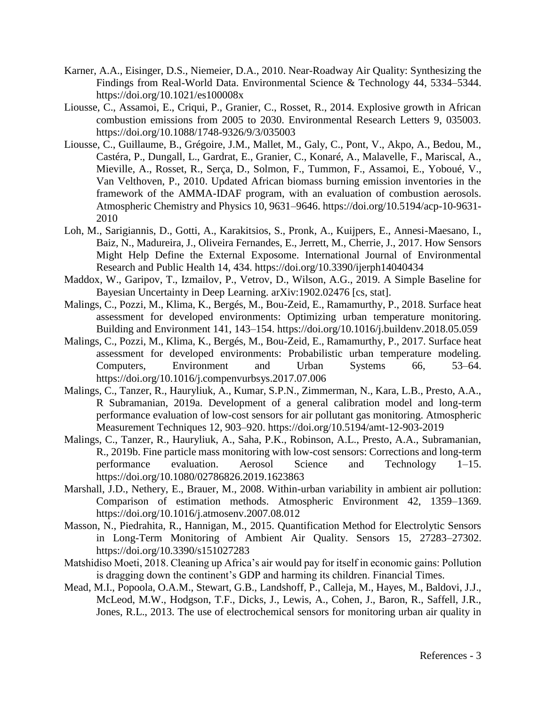- Karner, A.A., Eisinger, D.S., Niemeier, D.A., 2010. Near-Roadway Air Quality: Synthesizing the Findings from Real-World Data. Environmental Science & Technology 44, 5334–5344. https://doi.org/10.1021/es100008x
- Liousse, C., Assamoi, E., Criqui, P., Granier, C., Rosset, R., 2014. Explosive growth in African combustion emissions from 2005 to 2030. Environmental Research Letters 9, 035003. https://doi.org/10.1088/1748-9326/9/3/035003
- Liousse, C., Guillaume, B., Grégoire, J.M., Mallet, M., Galy, C., Pont, V., Akpo, A., Bedou, M., Castéra, P., Dungall, L., Gardrat, E., Granier, C., Konaré, A., Malavelle, F., Mariscal, A., Mieville, A., Rosset, R., Serça, D., Solmon, F., Tummon, F., Assamoi, E., Yoboué, V., Van Velthoven, P., 2010. Updated African biomass burning emission inventories in the framework of the AMMA-IDAF program, with an evaluation of combustion aerosols. Atmospheric Chemistry and Physics 10, 9631–9646. https://doi.org/10.5194/acp-10-9631- 2010
- Loh, M., Sarigiannis, D., Gotti, A., Karakitsios, S., Pronk, A., Kuijpers, E., Annesi-Maesano, I., Baiz, N., Madureira, J., Oliveira Fernandes, E., Jerrett, M., Cherrie, J., 2017. How Sensors Might Help Define the External Exposome. International Journal of Environmental Research and Public Health 14, 434. https://doi.org/10.3390/ijerph14040434
- Maddox, W., Garipov, T., Izmailov, P., Vetrov, D., Wilson, A.G., 2019. A Simple Baseline for Bayesian Uncertainty in Deep Learning. arXiv:1902.02476 [cs, stat].
- Malings, C., Pozzi, M., Klima, K., Bergés, M., Bou-Zeid, E., Ramamurthy, P., 2018. Surface heat assessment for developed environments: Optimizing urban temperature monitoring. Building and Environment 141, 143–154. https://doi.org/10.1016/j.buildenv.2018.05.059
- Malings, C., Pozzi, M., Klima, K., Bergés, M., Bou-Zeid, E., Ramamurthy, P., 2017. Surface heat assessment for developed environments: Probabilistic urban temperature modeling. Computers, Environment and Urban Systems 66, 53–64. https://doi.org/10.1016/j.compenvurbsys.2017.07.006
- Malings, C., Tanzer, R., Hauryliuk, A., Kumar, S.P.N., Zimmerman, N., Kara, L.B., Presto, A.A., R Subramanian, 2019a. Development of a general calibration model and long-term performance evaluation of low-cost sensors for air pollutant gas monitoring. Atmospheric Measurement Techniques 12, 903–920. https://doi.org/10.5194/amt-12-903-2019
- Malings, C., Tanzer, R., Hauryliuk, A., Saha, P.K., Robinson, A.L., Presto, A.A., Subramanian, R., 2019b. Fine particle mass monitoring with low-cost sensors: Corrections and long-term performance evaluation. Aerosol Science and Technology 1–15. https://doi.org/10.1080/02786826.2019.1623863
- Marshall, J.D., Nethery, E., Brauer, M., 2008. Within-urban variability in ambient air pollution: Comparison of estimation methods. Atmospheric Environment 42, 1359–1369. https://doi.org/10.1016/j.atmosenv.2007.08.012
- Masson, N., Piedrahita, R., Hannigan, M., 2015. Quantification Method for Electrolytic Sensors in Long-Term Monitoring of Ambient Air Quality. Sensors 15, 27283–27302. https://doi.org/10.3390/s151027283
- Matshidiso Moeti, 2018. Cleaning up Africa's air would pay for itself in economic gains: Pollution is dragging down the continent's GDP and harming its children. Financial Times.
- Mead, M.I., Popoola, O.A.M., Stewart, G.B., Landshoff, P., Calleja, M., Hayes, M., Baldovi, J.J., McLeod, M.W., Hodgson, T.F., Dicks, J., Lewis, A., Cohen, J., Baron, R., Saffell, J.R., Jones, R.L., 2013. The use of electrochemical sensors for monitoring urban air quality in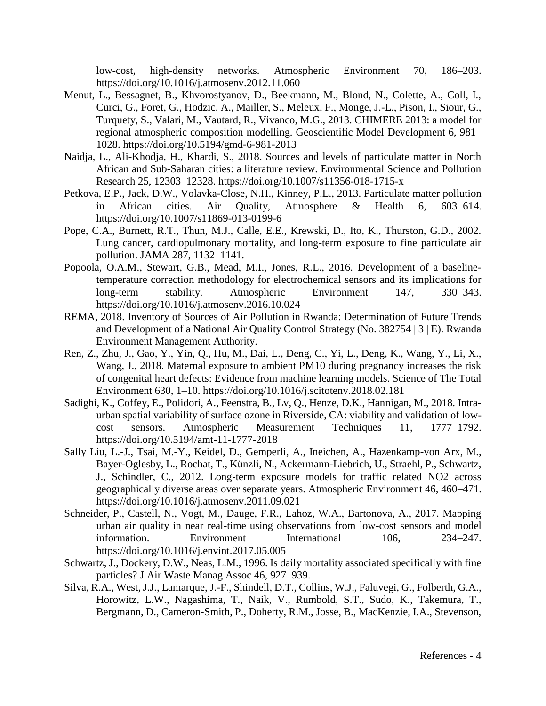low-cost, high-density networks. Atmospheric Environment 70, 186–203. https://doi.org/10.1016/j.atmosenv.2012.11.060

- Menut, L., Bessagnet, B., Khvorostyanov, D., Beekmann, M., Blond, N., Colette, A., Coll, I., Curci, G., Foret, G., Hodzic, A., Mailler, S., Meleux, F., Monge, J.-L., Pison, I., Siour, G., Turquety, S., Valari, M., Vautard, R., Vivanco, M.G., 2013. CHIMERE 2013: a model for regional atmospheric composition modelling. Geoscientific Model Development 6, 981– 1028. https://doi.org/10.5194/gmd-6-981-2013
- Naidja, L., Ali-Khodja, H., Khardi, S., 2018. Sources and levels of particulate matter in North African and Sub-Saharan cities: a literature review. Environmental Science and Pollution Research 25, 12303–12328. https://doi.org/10.1007/s11356-018-1715-x
- Petkova, E.P., Jack, D.W., Volavka-Close, N.H., Kinney, P.L., 2013. Particulate matter pollution in African cities. Air Quality, Atmosphere & Health 6, 603–614. https://doi.org/10.1007/s11869-013-0199-6
- Pope, C.A., Burnett, R.T., Thun, M.J., Calle, E.E., Krewski, D., Ito, K., Thurston, G.D., 2002. Lung cancer, cardiopulmonary mortality, and long-term exposure to fine particulate air pollution. JAMA 287, 1132–1141.
- Popoola, O.A.M., Stewart, G.B., Mead, M.I., Jones, R.L., 2016. Development of a baselinetemperature correction methodology for electrochemical sensors and its implications for long-term stability. Atmospheric Environment 147, 330–343. https://doi.org/10.1016/j.atmosenv.2016.10.024
- REMA, 2018. Inventory of Sources of Air Pollution in Rwanda: Determination of Future Trends and Development of a National Air Quality Control Strategy (No. 382754 | 3 | E). Rwanda Environment Management Authority.
- Ren, Z., Zhu, J., Gao, Y., Yin, Q., Hu, M., Dai, L., Deng, C., Yi, L., Deng, K., Wang, Y., Li, X., Wang, J., 2018. Maternal exposure to ambient PM10 during pregnancy increases the risk of congenital heart defects: Evidence from machine learning models. Science of The Total Environment 630, 1–10. https://doi.org/10.1016/j.scitotenv.2018.02.181
- Sadighi, K., Coffey, E., Polidori, A., Feenstra, B., Lv, Q., Henze, D.K., Hannigan, M., 2018. Intraurban spatial variability of surface ozone in Riverside, CA: viability and validation of lowcost sensors. Atmospheric Measurement Techniques 11, 1777–1792. https://doi.org/10.5194/amt-11-1777-2018
- Sally Liu, L.-J., Tsai, M.-Y., Keidel, D., Gemperli, A., Ineichen, A., Hazenkamp-von Arx, M., Bayer-Oglesby, L., Rochat, T., Künzli, N., Ackermann-Liebrich, U., Straehl, P., Schwartz, J., Schindler, C., 2012. Long-term exposure models for traffic related NO2 across geographically diverse areas over separate years. Atmospheric Environment 46, 460–471. https://doi.org/10.1016/j.atmosenv.2011.09.021
- Schneider, P., Castell, N., Vogt, M., Dauge, F.R., Lahoz, W.A., Bartonova, A., 2017. Mapping urban air quality in near real-time using observations from low-cost sensors and model information. Environment International 106, 234–247. https://doi.org/10.1016/j.envint.2017.05.005
- Schwartz, J., Dockery, D.W., Neas, L.M., 1996. Is daily mortality associated specifically with fine particles? J Air Waste Manag Assoc 46, 927–939.
- Silva, R.A., West, J.J., Lamarque, J.-F., Shindell, D.T., Collins, W.J., Faluvegi, G., Folberth, G.A., Horowitz, L.W., Nagashima, T., Naik, V., Rumbold, S.T., Sudo, K., Takemura, T., Bergmann, D., Cameron-Smith, P., Doherty, R.M., Josse, B., MacKenzie, I.A., Stevenson,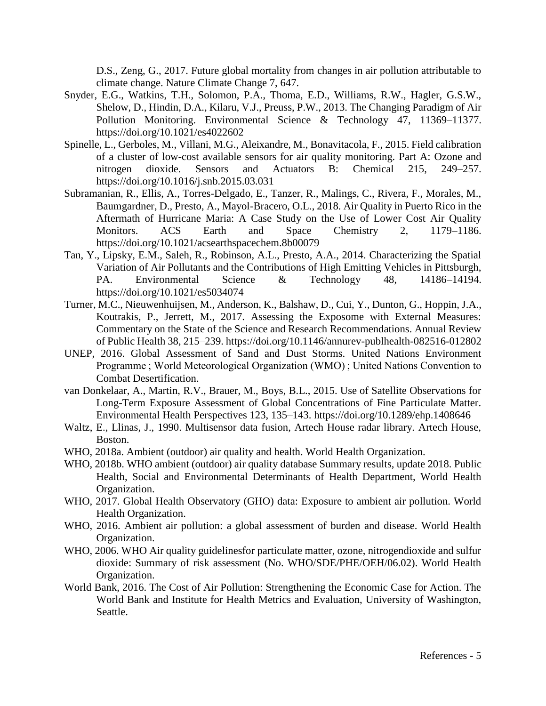D.S., Zeng, G., 2017. Future global mortality from changes in air pollution attributable to climate change. Nature Climate Change 7, 647.

- Snyder, E.G., Watkins, T.H., Solomon, P.A., Thoma, E.D., Williams, R.W., Hagler, G.S.W., Shelow, D., Hindin, D.A., Kilaru, V.J., Preuss, P.W., 2013. The Changing Paradigm of Air Pollution Monitoring. Environmental Science & Technology 47, 11369–11377. https://doi.org/10.1021/es4022602
- Spinelle, L., Gerboles, M., Villani, M.G., Aleixandre, M., Bonavitacola, F., 2015. Field calibration of a cluster of low-cost available sensors for air quality monitoring. Part A: Ozone and nitrogen dioxide. Sensors and Actuators B: Chemical 215, 249–257. https://doi.org/10.1016/j.snb.2015.03.031
- Subramanian, R., Ellis, A., Torres-Delgado, E., Tanzer, R., Malings, C., Rivera, F., Morales, M., Baumgardner, D., Presto, A., Mayol-Bracero, O.L., 2018. Air Quality in Puerto Rico in the Aftermath of Hurricane Maria: A Case Study on the Use of Lower Cost Air Quality Monitors. ACS Earth and Space Chemistry 2, 1179–1186. https://doi.org/10.1021/acsearthspacechem.8b00079
- Tan, Y., Lipsky, E.M., Saleh, R., Robinson, A.L., Presto, A.A., 2014. Characterizing the Spatial Variation of Air Pollutants and the Contributions of High Emitting Vehicles in Pittsburgh, PA. Environmental Science & Technology 48, 14186–14194. https://doi.org/10.1021/es5034074
- Turner, M.C., Nieuwenhuijsen, M., Anderson, K., Balshaw, D., Cui, Y., Dunton, G., Hoppin, J.A., Koutrakis, P., Jerrett, M., 2017. Assessing the Exposome with External Measures: Commentary on the State of the Science and Research Recommendations. Annual Review of Public Health 38, 215–239. https://doi.org/10.1146/annurev-publhealth-082516-012802
- UNEP, 2016. Global Assessment of Sand and Dust Storms. United Nations Environment Programme ; World Meteorological Organization (WMO) ; United Nations Convention to Combat Desertification.
- van Donkelaar, A., Martin, R.V., Brauer, M., Boys, B.L., 2015. Use of Satellite Observations for Long-Term Exposure Assessment of Global Concentrations of Fine Particulate Matter. Environmental Health Perspectives 123, 135–143. https://doi.org/10.1289/ehp.1408646
- Waltz, E., Llinas, J., 1990. Multisensor data fusion, Artech House radar library. Artech House, Boston.
- WHO, 2018a. Ambient (outdoor) air quality and health. World Health Organization.
- WHO, 2018b. WHO ambient (outdoor) air quality database Summary results, update 2018. Public Health, Social and Environmental Determinants of Health Department, World Health Organization.
- WHO, 2017. Global Health Observatory (GHO) data: Exposure to ambient air pollution. World Health Organization.
- WHO, 2016. Ambient air pollution: a global assessment of burden and disease. World Health Organization.
- WHO, 2006. WHO Air quality guidelinesfor particulate matter, ozone, nitrogendioxide and sulfur dioxide: Summary of risk assessment (No. WHO/SDE/PHE/OEH/06.02). World Health Organization.
- World Bank, 2016. The Cost of Air Pollution: Strengthening the Economic Case for Action. The World Bank and Institute for Health Metrics and Evaluation, University of Washington, Seattle.